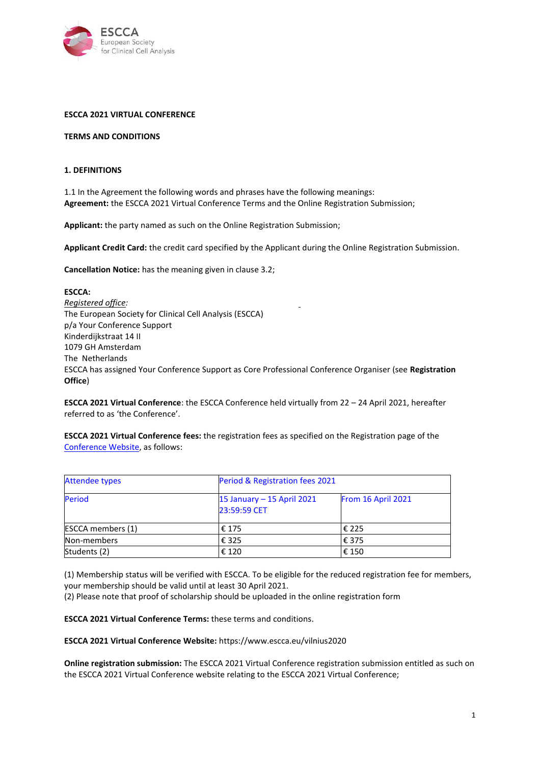

### **ESCCA 2021 VIRTUAL CONFERENCE**

#### **TERMS AND CONDITIONS**

#### **1. DEFINITIONS**

1.1 In the Agreement the following words and phrases have the following meanings: **Agreement:** the ESCCA 2021 Virtual Conference Terms and the Online Registration Submission;

**Applicant:** the party named as such on the Online Registration Submission;

**Applicant Credit Card:** the credit card specified by the Applicant during the Online Registration Submission.

**Cancellation Notice:** has the meaning given in clause 3.2;

**ESCCA:** *Registered office:* The European Society for Clinical Cell Analysis (ESCCA) p/a Your Conference Support Kinderdijkstraat 14 II 1079 GH Amsterdam The Netherlands ESCCA has assigned Your Conference Support as Core Professional Conference Organiser (see **Registration Office**)

**ESCCA 2021 Virtual Conference**: the ESCCA Conference held virtually from 22 – 24 April 2021, hereafter referred to as 'the Conference'.

**ESCCA 2021 Virtual Conference fees:** the registration fees as specified on the Registration page of the [Conference Website,](https://www.escca.eu/registration-vilnius2020) as follows:

| <b>Attendee types</b>    | Period & Registration fees 2021            |                    |
|--------------------------|--------------------------------------------|--------------------|
| Period                   | 15 January - 15 April 2021<br>23:59:59 CET | From 16 April 2021 |
| <b>ESCCA</b> members (1) | € 175                                      | € 225              |
| Non-members              | € 325                                      | € 375              |
| Students (2)             | € 120                                      | $\epsilon$ 150     |

(1) Membership status will be verified with ESCCA. To be eligible for the reduced registration fee for members, your membership should be valid until at least 30 April 2021.

(2) Please note that proof of scholarship should be uploaded in the online registration form

**ESCCA 2021 Virtual Conference Terms:** these terms and conditions.

**ESCCA 2021 Virtual Conference Website:** https://www.escca.eu/vilnius2020

**Online registration submission:** The ESCCA 2021 Virtual Conference registration submission entitled as such on the ESCCA 2021 Virtual Conference website relating to the ESCCA 2021 Virtual Conference;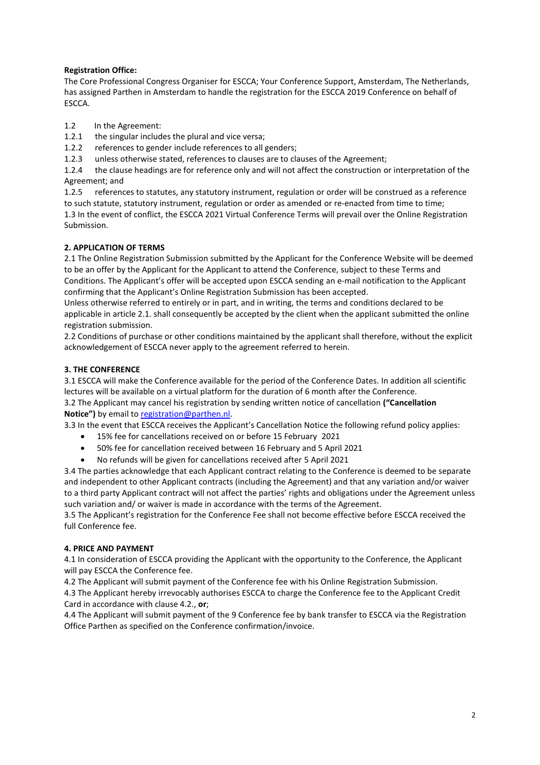# **Registration Office:**

The Core Professional Congress Organiser for ESCCA; Your Conference Support, Amsterdam, The Netherlands, has assigned Parthen in Amsterdam to handle the registration for the ESCCA 2019 Conference on behalf of ESCCA.

- 1.2 In the Agreement:<br>1.2.1 the singular includ
- the singular includes the plural and vice versa;
- 1.2.2 references to gender include references to all genders;
- 1.2.3 unless otherwise stated, references to clauses are to clauses of the Agreement;

1.2.4 the clause headings are for reference only and will not affect the construction or interpretation of the Agreement; and

1.2.5 references to statutes, any statutory instrument, regulation or order will be construed as a reference to such statute, statutory instrument, regulation or order as amended or re-enacted from time to time; 1.3 In the event of conflict, the ESCCA 2021 Virtual Conference Terms will prevail over the Online Registration Submission.

# **2. APPLICATION OF TERMS**

2.1 The Online Registration Submission submitted by the Applicant for the Conference Website will be deemed to be an offer by the Applicant for the Applicant to attend the Conference, subject to these Terms and Conditions. The Applicant's offer will be accepted upon ESCCA sending an e-mail notification to the Applicant confirming that the Applicant's Online Registration Submission has been accepted.

Unless otherwise referred to entirely or in part, and in writing, the terms and conditions declared to be applicable in article 2.1. shall consequently be accepted by the client when the applicant submitted the online registration submission.

2.2 Conditions of purchase or other conditions maintained by the applicant shall therefore, without the explicit acknowledgement of ESCCA never apply to the agreement referred to herein.

## **3. THE CONFERENCE**

3.1 ESCCA will make the Conference available for the period of the Conference Dates. In addition all scientific lectures will be available on a virtual platform for the duration of 6 month after the Conference.

3.2 The Applicant may cancel his registration by sending written notice of cancellation **("Cancellation Notice")** by email to [registration@parthen.nl.](mailto:registration@parthen.nl)

3.3 In the event that ESCCA receives the Applicant's Cancellation Notice the following refund policy applies:

- 15% fee for cancellations received on or before 15 February 2021
- 50% fee for cancellation received between 16 February and 5 April 2021
- No refunds will be given for cancellations received after 5 April 2021

3.4 The parties acknowledge that each Applicant contract relating to the Conference is deemed to be separate and independent to other Applicant contracts (including the Agreement) and that any variation and/or waiver to a third party Applicant contract will not affect the parties' rights and obligations under the Agreement unless such variation and/ or waiver is made in accordance with the terms of the Agreement.

3.5 The Applicant's registration for the Conference Fee shall not become effective before ESCCA received the full Conference fee.

### **4. PRICE AND PAYMENT**

4.1 In consideration of ESCCA providing the Applicant with the opportunity to the Conference, the Applicant will pay ESCCA the Conference fee.

4.2 The Applicant will submit payment of the Conference fee with his Online Registration Submission.

4.3 The Applicant hereby irrevocably authorises ESCCA to charge the Conference fee to the Applicant Credit Card in accordance with clause 4.2., **or**;

4.4 The Applicant will submit payment of the 9 Conference fee by bank transfer to ESCCA via the Registration Office Parthen as specified on the Conference confirmation/invoice.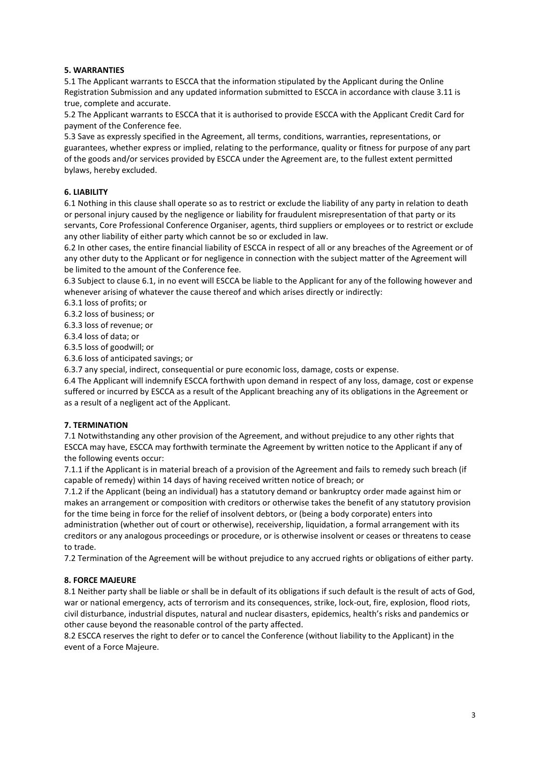## **5. WARRANTIES**

5.1 The Applicant warrants to ESCCA that the information stipulated by the Applicant during the Online Registration Submission and any updated information submitted to ESCCA in accordance with clause 3.11 is true, complete and accurate.

5.2 The Applicant warrants to ESCCA that it is authorised to provide ESCCA with the Applicant Credit Card for payment of the Conference fee.

5.3 Save as expressly specified in the Agreement, all terms, conditions, warranties, representations, or guarantees, whether express or implied, relating to the performance, quality or fitness for purpose of any part of the goods and/or services provided by ESCCA under the Agreement are, to the fullest extent permitted bylaws, hereby excluded.

## **6. LIABILITY**

6.1 Nothing in this clause shall operate so as to restrict or exclude the liability of any party in relation to death or personal injury caused by the negligence or liability for fraudulent misrepresentation of that party or its servants, Core Professional Conference Organiser, agents, third suppliers or employees or to restrict or exclude any other liability of either party which cannot be so or excluded in law.

6.2 In other cases, the entire financial liability of ESCCA in respect of all or any breaches of the Agreement or of any other duty to the Applicant or for negligence in connection with the subject matter of the Agreement will be limited to the amount of the Conference fee.

6.3 Subject to clause 6.1, in no event will ESCCA be liable to the Applicant for any of the following however and whenever arising of whatever the cause thereof and which arises directly or indirectly:

6.3.1 loss of profits; or

6.3.2 loss of business; or

6.3.3 loss of revenue; or

6.3.4 loss of data; or

6.3.5 loss of goodwill; or

6.3.6 loss of anticipated savings; or

6.3.7 any special, indirect, consequential or pure economic loss, damage, costs or expense.

6.4 The Applicant will indemnify ESCCA forthwith upon demand in respect of any loss, damage, cost or expense suffered or incurred by ESCCA as a result of the Applicant breaching any of its obligations in the Agreement or as a result of a negligent act of the Applicant.

### **7. TERMINATION**

7.1 Notwithstanding any other provision of the Agreement, and without prejudice to any other rights that ESCCA may have, ESCCA may forthwith terminate the Agreement by written notice to the Applicant if any of the following events occur:

7.1.1 if the Applicant is in material breach of a provision of the Agreement and fails to remedy such breach (if capable of remedy) within 14 days of having received written notice of breach; or

7.1.2 if the Applicant (being an individual) has a statutory demand or bankruptcy order made against him or makes an arrangement or composition with creditors or otherwise takes the benefit of any statutory provision for the time being in force for the relief of insolvent debtors, or (being a body corporate) enters into administration (whether out of court or otherwise), receivership, liquidation, a formal arrangement with its creditors or any analogous proceedings or procedure, or is otherwise insolvent or ceases or threatens to cease to trade.

7.2 Termination of the Agreement will be without prejudice to any accrued rights or obligations of either party.

### **8. FORCE MAJEURE**

8.1 Neither party shall be liable or shall be in default of its obligations if such default is the result of acts of God, war or national emergency, acts of terrorism and its consequences, strike, lock-out, fire, explosion, flood riots, civil disturbance, industrial disputes, natural and nuclear disasters, epidemics, health's risks and pandemics or other cause beyond the reasonable control of the party affected.

8.2 ESCCA reserves the right to defer or to cancel the Conference (without liability to the Applicant) in the event of a Force Majeure.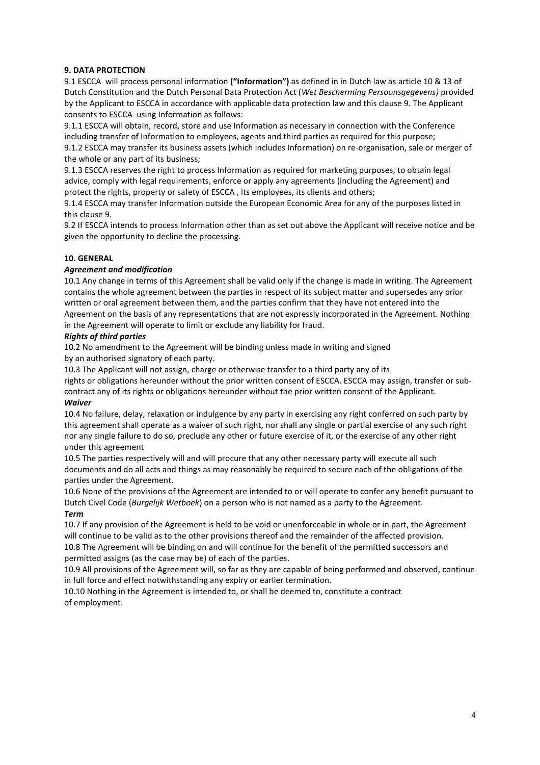### **9. DATA PROTECTION**

9.1 ESCCA will process personal information **("Information")** as defined in in Dutch law as article 10 & 13 of Dutch Constitution and the Dutch Personal Data Protection Act (*Wet Bescherming Persoonsgegevens)* provided by the Applicant to ESCCA in accordance with applicable data protection law and this clause 9. The Applicant consents to ESCCA using Information as follows:

9.1.1 ESCCA will obtain, record, store and use Information as necessary in connection with the Conference including transfer of Information to employees, agents and third parties as required for this purpose; 9.1.2 ESCCA may transfer its business assets (which includes Information) on re-organisation, sale or merger of

the whole or any part of its business;

9.1.3 ESCCA reserves the right to process Information as required for marketing purposes, to obtain legal advice, comply with legal requirements, enforce or apply any agreements (including the Agreement) and protect the rights, property or safety of ESCCA , its employees, its clients and others;

9.1.4 ESCCA may transfer Information outside the European Economic Area for any of the purposes listed in this clause 9.

9.2 If ESCCA intends to process Information other than as set out above the Applicant will receive notice and be given the opportunity to decline the processing.

## **10. GENERAL**

## *Agreement and modification*

10.1 Any change in terms of this Agreement shall be valid only if the change is made in writing. The Agreement contains the whole agreement between the parties in respect of its subject matter and supersedes any prior written or oral agreement between them, and the parties confirm that they have not entered into the Agreement on the basis of any representations that are not expressly incorporated in the Agreement. Nothing in the Agreement will operate to limit or exclude any liability for fraud.

### *Rights of third parties*

10.2 No amendment to the Agreement will be binding unless made in writing and signed by an authorised signatory of each party.

10.3 The Applicant will not assign, charge or otherwise transfer to a third party any of its

rights or obligations hereunder without the prior written consent of ESCCA. ESCCA may assign, transfer or subcontract any of its rights or obligations hereunder without the prior written consent of the Applicant. *Waiver*

10.4 No failure, delay, relaxation or indulgence by any party in exercising any right conferred on such party by this agreement shall operate as a waiver of such right, nor shall any single or partial exercise of any such right nor any single failure to do so, preclude any other or future exercise of it, or the exercise of any other right under this agreement

10.5 The parties respectively will and will procure that any other necessary party will execute all such documents and do all acts and things as may reasonably be required to secure each of the obligations of the parties under the Agreement.

10.6 None of the provisions of the Agreement are intended to or will operate to confer any benefit pursuant to Dutch Civel Code (*Burgelijk Wetboek*) on a person who is not named as a party to the Agreement. *Term*

10.7 If any provision of the Agreement is held to be void or unenforceable in whole or in part, the Agreement will continue to be valid as to the other provisions thereof and the remainder of the affected provision. 10.8 The Agreement will be binding on and will continue for the benefit of the permitted successors and

permitted assigns (as the case may be) of each of the parties.

10.9 All provisions of the Agreement will, so far as they are capable of being performed and observed, continue in full force and effect notwithstanding any expiry or earlier termination.

10.10 Nothing in the Agreement is intended to, or shall be deemed to, constitute a contract of employment.